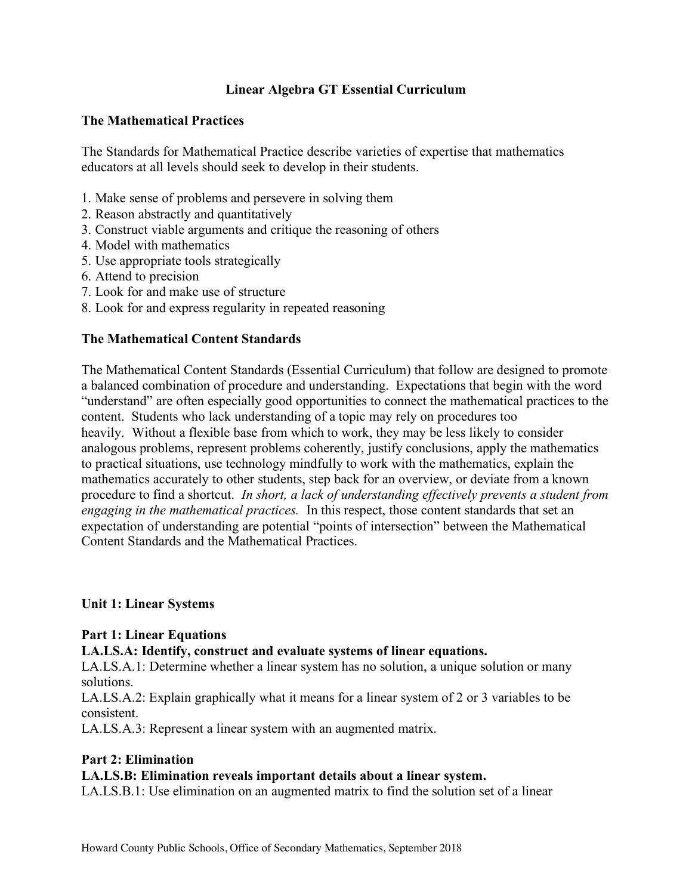# **Linear Algebra GT Essential Curriculum**

## **The Mathematical Practices**

 The Standards for Mathematical Practice describe varieties of expertise that mathematics educators at all levels should seek to develop in their students.

- 1. Make sense of problems and persevere in solving them
- 2. Reason abstractly and quantitatively
- 3. Construct viable arguments and critique the reasoning of others
- 4. Model with mathematics
- 5. Use appropriate tools strategically
- 6. Attend to precision
- 7. Look for and make use of structure
- 8. Look for and express regularity in repeated reasoning

## **The Mathematical Content Standards**

 The Mathematical Content Standards (Essential Curriculum) that follow are designed to promote a balanced combination of procedure and understanding. Expectations that begin with the word "understand" are often especially good opportunities to connect the mathematical practices to the content. Students who lack understanding of a topic may rely on procedures too heavily. Without a flexible base from which to work, they may be less likely to consider analogous problems, represent problems coherently, justify conclusions, apply the mathematics to practical situations, use technology mindfully to work with the mathematics, explain the mathematics accurately to other students, step back for an overview, or deviate from a known procedure to find a shortcut. *In short, a lack of understanding effectively prevents a student from engaging in the mathematical practices.* In this respect, those content standards that set an expectation of understanding are potential "points of intersection" between the Mathematical Content Standards and the Mathematical Practices.

### **Unit 1: Linear Systems**

### **Part 1: Linear Equations**

### **LA.LS.A: Identify, construct and evaluate systems of linear equations.**

 LA.LS.A.1: Determine whether a linear system has no solution, a unique solution or many solutions.

 LA.LS.A.2: Explain graphically what it means for a linear system of 2 or 3 variables to be consistent.

consistent.<br>LA.LS.A.3: Represent a linear system with an augmented matrix.

### **Part 2: Elimination**

### **LA.LS.B: Elimination reveals important details about a linear system.**

LA.LS.B.1: Use elimination on an augmented matrix to find the solution set of a linear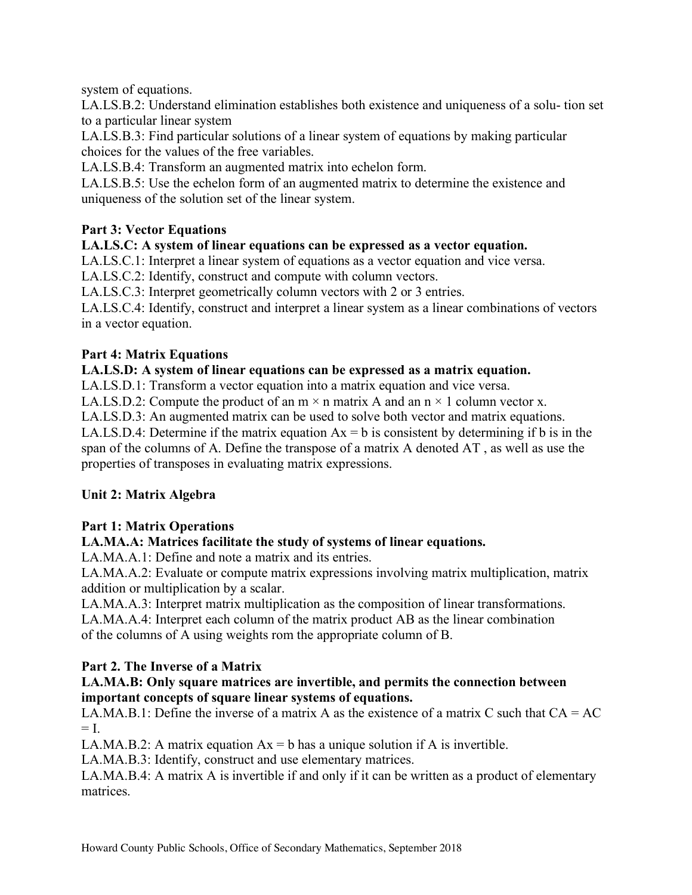system of equations.

 LA.LS.B.2: Understand elimination establishes both existence and uniqueness of a solu- tion set to a particular linear system

 LA.LS.B.3: Find particular solutions of a linear system of equations by making particular choices for the values of the free variables.

LA.LS.B.4: Transform an augmented matrix into echelon form.

 LA.LS.B.5: Use the echelon form of an augmented matrix to determine the existence and uniqueness of the solution set of the linear system.

# **Part 3: Vector Equations**

# **LA.LS.C: A system of linear equations can be expressed as a vector equation.**

LA.LS.C.1: Interpret a linear system of equations as a vector equation and vice versa.

LA.LS.C.2: Identify, construct and compute with column vectors.

LA.LS.C.3: Interpret geometrically column vectors with 2 or 3 entries.

 LA.LS.C.4: Identify, construct and interpret a linear system as a linear combinations of vectors in a vector equation.

# **Part 4: Matrix Equations**

# **LA.LS.D: A system of linear equations can be expressed as a matrix equation.**

LA.LS.D.1: Transform a vector equation into a matrix equation and vice versa.

LA.LS.D.2: Compute the product of an  $m \times n$  matrix A and an  $n \times 1$  column vector x.

LA.LS.D.3: An augmented matrix can be used to solve both vector and matrix equations.

LA.LS.D.4: Determine if the matrix equation  $Ax = b$  is consistent by determining if b is in the span of the columns of A. Define the transpose of a matrix A denoted AT , as well as use the properties of transposes in evaluating matrix expressions.

# **Unit 2: Matrix Algebra**

# **Part 1: Matrix Operations**

# **LA.MA.A: Matrices facilitate the study of systems of linear equations.**

LA.MA.A.1: Define and note a matrix and its entries.

 LA.MA.A.2: Evaluate or compute matrix expressions involving matrix multiplication, matrix addition or multiplication by a scalar.

LA.MA.A.3: Interpret matrix multiplication as the composition of linear transformations.

 LA.MA.A.4: Interpret each column of the matrix product AB as the linear combination of the columns of A using weights rom the appropriate column of B.

# **Part 2. The Inverse of a Matrix**

# **LA.MA.B: Only square matrices are invertible, and permits the connection between important concepts of square linear systems of equations.**

LA.MA.B.1: Define the inverse of a matrix A as the existence of a matrix C such that  $CA = AC$  $=$  I.

LA.MA.B.2: A matrix equation  $Ax = b$  has a unique solution if A is invertible.

LA.MA.B.3: Identify, construct and use elementary matrices.

 LA.MA.B.4: A matrix A is invertible if and only if it can be written as a product of elementary matrices.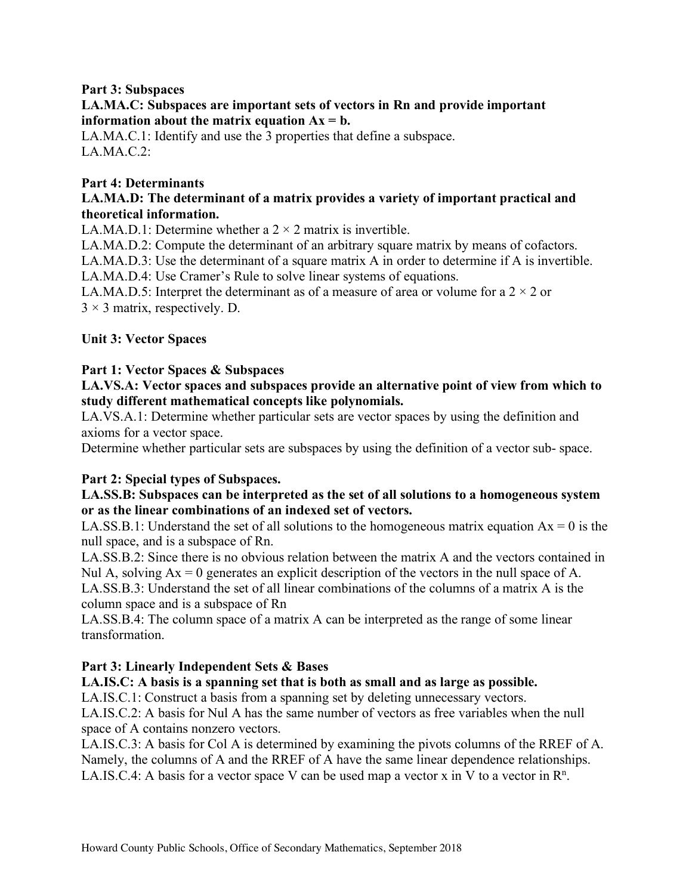# **Part 3: Subspaces**

## **LA.MA.C: Subspaces are important sets of vectors in Rn and provide important information about the matrix equation**  $Ax = b$ **.**

 LA.MA.C.1: Identify and use the 3 properties that define a subspace. LA.MA.C.2:

### **Part 4: Determinants**

## **LA.MA.D: The determinant of a matrix provides a variety of important practical and theoretical information.**

LA.MA.D.1: Determine whether a  $2 \times 2$  matrix is invertible.

LA.MA.D.2: Compute the determinant of an arbitrary square matrix by means of cofactors.

LA.MA.D.3: Use the determinant of a square matrix A in order to determine if A is invertible.

LA.MA.D.4: Use Cramer's Rule to solve linear systems of equations.

LA.MA.D.5: Interpret the determinant as of a measure of area or volume for a  $2 \times 2$  or  $3 \times 3$  matrix, respectively. D.

## **Unit 3: Vector Spaces**

## **Part 1: Vector Spaces & Subspaces**

## **LA.VS.A: Vector spaces and subspaces provide an alternative point of view from which to study different mathematical concepts like polynomials.**

 LA.VS.A.1: Determine whether particular sets are vector spaces by using the definition and axioms for a vector space.

Determine whether particular sets are subspaces by using the definition of a vector sub- space.

### **Part 2: Special types of Subspaces.**

## **LA.SS.B: Subspaces can be interpreted as the set of all solutions to a homogeneous system or as the linear combinations of an indexed set of vectors.**

LA.SS.B.1: Understand the set of all solutions to the homogeneous matrix equation  $Ax = 0$  is the null space, and is a subspace of Rn.

 LA.SS.B.2: Since there is no obvious relation between the matrix A and the vectors contained in Nul A, solving  $Ax = 0$  generates an explicit description of the vectors in the null space of A. LA.SS.B.3: Understand the set of all linear combinations of the columns of a matrix A is the

column space and is a subspace of Rn

 LA.SS.B.4: The column space of a matrix A can be interpreted as the range of some linear transformation.

### **Part 3: Linearly Independent Sets & Bases**

### **LA.IS.C: A basis is a spanning set that is both as small and as large as possible.**

LA.IS.C.1: Construct a basis from a spanning set by deleting unnecessary vectors.

 LA.IS.C.2: A basis for Nul A has the same number of vectors as free variables when the null space of A contains nonzero vectors.

 LA.IS.C.3: A basis for Col A is determined by examining the pivots columns of the RREF of A. Namely, the columns of A and the RREF of A have the same linear dependence relationships. LA.IS.C.4: A basis for a vector space V can be used map a vector x in V to a vector in  $\mathbb{R}^n$ .